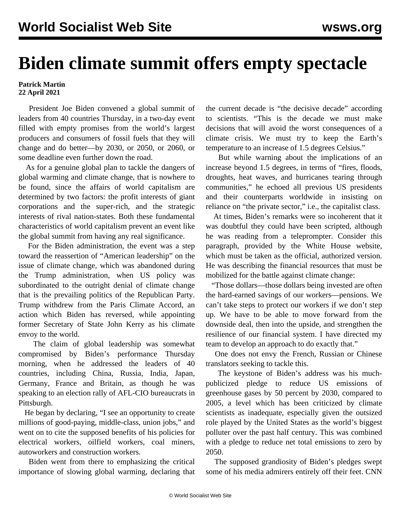## **Biden climate summit offers empty spectacle**

## **Patrick Martin 22 April 2021**

 President Joe Biden convened a global summit of leaders from 40 countries Thursday, in a two-day event filled with empty promises from the world's largest producers and consumers of fossil fuels that they will change and do better—by 2030, or 2050, or 2060, or some deadline even further down the road.

 As for a genuine global plan to tackle the dangers of global warming and climate change, that is nowhere to be found, since the affairs of world capitalism are determined by two factors: the profit interests of giant corporations and the super-rich, and the strategic interests of rival nation-states. Both these fundamental characteristics of world capitalism prevent an event like the global summit from having any real significance.

 For the Biden administration, the event was a step toward the reassertion of "American leadership" on the issue of climate change, which was abandoned during the Trump administration, when US policy was subordinated to the outright denial of climate change that is the prevailing politics of the Republican Party. Trump withdrew from the Paris Climate Accord, an action which Biden has reversed, while appointing former Secretary of State John Kerry as his climate envoy to the world.

 The claim of global leadership was somewhat compromised by Biden's performance Thursday morning, when he addressed the leaders of 40 countries, including China, Russia, India, Japan, Germany, France and Britain, as though he was speaking to an election rally of AFL-CIO bureaucrats in Pittsburgh.

 He began by declaring, "I see an opportunity to create millions of good-paying, middle-class, union jobs," and went on to cite the supposed benefits of his policies for electrical workers, oilfield workers, coal miners, autoworkers and construction workers.

 Biden went from there to emphasizing the critical importance of slowing global warming, declaring that the current decade is "the decisive decade" according to scientists. "This is the decade we must make decisions that will avoid the worst consequences of a climate crisis. We must try to keep the Earth's temperature to an increase of 1.5 degrees Celsius."

 But while warning about the implications of an increase beyond 1.5 degrees, in terms of "fires, floods, droughts, heat waves, and hurricanes tearing through communities," he echoed all previous US presidents and their counterparts worldwide in insisting on reliance on "the private sector," i.e., the capitalist class.

 At times, Biden's remarks were so incoherent that it was doubtful they could have been scripted, although he was reading from a teleprompter. Consider this paragraph, provided by the White House website, which must be taken as the official, authorized version. He was describing the financial resources that must be mobilized for the battle against climate change:

 "Those dollars—those dollars being invested are often the hard-earned savings of our workers—pensions. We can't take steps to protect our workers if we don't step up. We have to be able to move forward from the downside deal, then into the upside, and strengthen the resilience of our financial system. I have directed my team to develop an approach to do exactly that."

 One does not envy the French, Russian or Chinese translators seeking to tackle this.

 The keystone of Biden's address was his muchpublicized pledge to reduce US emissions of greenhouse gases by 50 percent by 2030, compared to 2005, a level which has been criticized by climate scientists as inadequate, especially given the outsized role played by the United States as the world's biggest polluter over the past half century. This was combined with a pledge to reduce net total emissions to zero by 2050.

 The supposed grandiosity of Biden's pledges swept some of his media admirers entirely off their feet. CNN